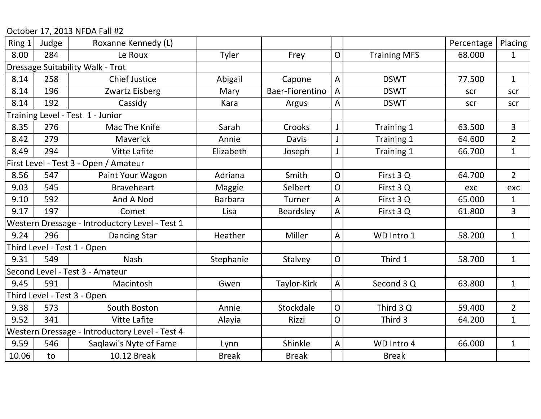October 17, 2013 NFDA Fall #2

| Ring 1 | Judge | Roxanne Kennedy (L)                            |                |                 |                |                     | Percentage | <b>Placing</b> |
|--------|-------|------------------------------------------------|----------------|-----------------|----------------|---------------------|------------|----------------|
| 8.00   | 284   | Le Roux                                        | Tyler          | Frey            | $\mathsf O$    | <b>Training MFS</b> | 68.000     | $\mathbf{1}$   |
|        |       | Dressage Suitability Walk - Trot               |                |                 |                |                     |            |                |
| 8.14   | 258   | <b>Chief Justice</b>                           | Abigail        | Capone          | $\overline{A}$ | <b>DSWT</b>         | 77.500     | $\mathbf{1}$   |
| 8.14   | 196   | Zwartz Eisberg                                 | Mary           | Baer-Fiorentino | $\overline{A}$ | <b>DSWT</b>         | scr        | scr            |
| 8.14   | 192   | Cassidy                                        | Kara           | Argus           | A              | <b>DSWT</b>         | scr        | scr            |
|        |       | Training Level - Test 1 - Junior               |                |                 |                |                     |            |                |
| 8.35   | 276   | Mac The Knife                                  | Sarah          | Crooks          | J              | Training 1          | 63.500     | 3              |
| 8.42   | 279   | Maverick                                       | Annie          | <b>Davis</b>    | J              | Training 1          | 64.600     | $\overline{2}$ |
| 8.49   | 294   | <b>Vitte Lafite</b>                            | Elizabeth      | Joseph          | J              | Training 1          | 66.700     | $\mathbf{1}$   |
|        |       | First Level - Test 3 - Open / Amateur          |                |                 |                |                     |            |                |
| 8.56   | 547   | Paint Your Wagon                               | Adriana        | Smith           | $\overline{O}$ | First 3Q            | 64.700     | $\overline{2}$ |
| 9.03   | 545   | <b>Braveheart</b>                              | Maggie         | Selbert         | $\overline{O}$ | First 3Q            | exc        | exc            |
| 9.10   | 592   | And A Nod                                      | <b>Barbara</b> | Turner          | $\overline{A}$ | First 3Q            | 65.000     | $\mathbf{1}$   |
| 9.17   | 197   | Comet                                          | Lisa           | Beardsley       | $\overline{A}$ | First 3 Q           | 61.800     | 3              |
|        |       | Western Dressage - Introductory Level - Test 1 |                |                 |                |                     |            |                |
| 9.24   | 296   | <b>Dancing Star</b>                            | Heather        | Miller          | A              | WD Intro 1          | 58.200     | $\mathbf{1}$   |
|        |       | Third Level - Test 1 - Open                    |                |                 |                |                     |            |                |
| 9.31   | 549   | Nash                                           | Stephanie      | Stalvey         | $\overline{O}$ | Third 1             | 58.700     | $\mathbf{1}$   |
|        |       | Second Level - Test 3 - Amateur                |                |                 |                |                     |            |                |
| 9.45   | 591   | Macintosh                                      | Gwen           | Taylor-Kirk     | A              | Second 3 Q          | 63.800     | $\mathbf{1}$   |
|        |       | Third Level - Test 3 - Open                    |                |                 |                |                     |            |                |
| 9.38   | 573   | South Boston                                   | Annie          | Stockdale       | $\mathsf{O}$   | Third 3 Q           | 59.400     | $\overline{2}$ |
| 9.52   | 341   | Vitte Lafite                                   | Alayia         | Rizzi           | $\overline{O}$ | Third 3             | 64.200     | $\mathbf{1}$   |
|        |       | Western Dressage - Introductory Level - Test 4 |                |                 |                |                     |            |                |
| 9.59   | 546   | Saglawi's Nyte of Fame                         | Lynn           | Shinkle         | A              | WD Intro 4          | 66.000     | $\mathbf{1}$   |
| 10.06  | to    | 10.12 Break                                    | <b>Break</b>   | <b>Break</b>    |                | <b>Break</b>        |            |                |
|        |       |                                                |                |                 |                |                     |            |                |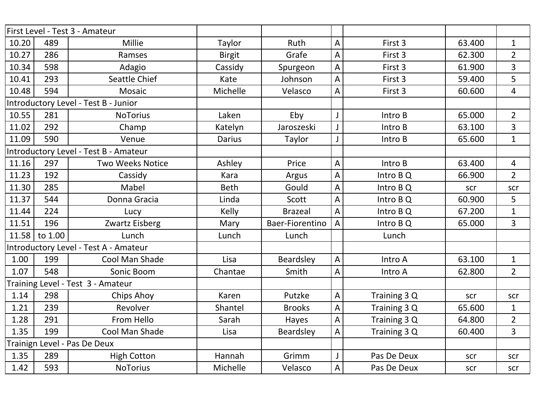|       |         | First Level - Test 3 - Amateur        |               |                 |                           |              |        |                |
|-------|---------|---------------------------------------|---------------|-----------------|---------------------------|--------------|--------|----------------|
| 10.20 | 489     | Millie                                | Taylor        | Ruth            | $\boldsymbol{\mathsf{A}}$ | First 3      | 63.400 | $\mathbf{1}$   |
| 10.27 | 286     | Ramses                                | <b>Birgit</b> | Grafe           | A                         | First 3      | 62.300 | $\overline{2}$ |
| 10.34 | 598     | Adagio                                | Cassidy       | Spurgeon        | $\mathsf A$               | First 3      | 61.900 | $\overline{3}$ |
| 10.41 | 293     | Seattle Chief                         | Kate          | Johnson         | A                         | First 3      | 59.400 | 5              |
| 10.48 | 594     | Mosaic                                | Michelle      | Velasco         | A                         | First 3      | 60.600 | $\overline{4}$ |
|       |         | Introductory Level - Test B - Junior  |               |                 |                           |              |        |                |
| 10.55 | 281     | <b>NoTorius</b>                       | Laken         | Eby             |                           | Intro B      | 65.000 | $\overline{2}$ |
| 11.02 | 292     | Champ                                 | Katelyn       | Jaroszeski      | $\mathsf J$               | Intro B      | 63.100 | $\overline{3}$ |
| 11.09 | 590     | Venue                                 | <b>Darius</b> | Taylor          | $\mathsf{J}$              | Intro B      | 65.600 | $\mathbf{1}$   |
|       |         | Introductory Level - Test B - Amateur |               |                 |                           |              |        |                |
| 11.16 | 297     | <b>Two Weeks Notice</b>               | Ashley        | Price           | A                         | Intro B      | 63.400 | $\overline{4}$ |
| 11.23 | 192     | Cassidy                               | Kara          | Argus           | $\boldsymbol{\mathsf{A}}$ | Intro B Q    | 66.900 | $\overline{2}$ |
| 11.30 | 285     | Mabel                                 | <b>Beth</b>   | Gould           | $\overline{A}$            | Intro B Q    | scr    | scr            |
| 11.37 | 544     | Donna Gracia                          | Linda         | Scott           | A                         | Intro B Q    | 60.900 | 5              |
| 11.44 | 224     | Lucy                                  | Kelly         | <b>Brazeal</b>  | $\overline{A}$            | Intro B Q    | 67.200 | $\mathbf{1}$   |
| 11.51 | 196     | Zwartz Eisberg                        | Mary          | Baer-Fiorentino | $\overline{A}$            | Intro B Q    | 65.000 | $\overline{3}$ |
| 11.58 | to 1.00 | Lunch                                 | Lunch         | Lunch           |                           | Lunch        |        |                |
|       |         | Introductory Level - Test A - Amateur |               |                 |                           |              |        |                |
| 1.00  | 199     | Cool Man Shade                        | Lisa          | Beardsley       | $\overline{A}$            | Intro A      | 63.100 | $\mathbf{1}$   |
| 1.07  | 548     | Sonic Boom                            | Chantae       | Smith           | $\overline{A}$            | Intro A      | 62.800 | $\overline{2}$ |
|       |         | Training Level - Test 3 - Amateur     |               |                 |                           |              |        |                |
| 1.14  | 298     | Chips Ahoy                            | Karen         | Putzke          | $\mathsf A$               | Training 3 Q | scr    | scr            |
| 1.21  | 239     | Revolver                              | Shantel       | <b>Brooks</b>   | A                         | Training 3 Q | 65.600 | $\mathbf{1}$   |
| 1.28  | 291     | From Hello                            | Sarah         | Hayes           | $\boldsymbol{\mathsf{A}}$ | Training 3 Q | 64.800 | $\overline{2}$ |
| 1.35  | 199     | Cool Man Shade                        | Lisa          | Beardsley       | $\overline{A}$            | Training 3 Q | 60.400 | $\overline{3}$ |
|       |         | Trainign Level - Pas De Deux          |               |                 |                           |              |        |                |
| 1.35  | 289     | <b>High Cotton</b>                    | Hannah        | Grimm           | $\mathsf J$               | Pas De Deux  | scr    | scr            |
| 1.42  | 593     | <b>NoTorius</b>                       | Michelle      | Velasco         | $\mathsf{A}$              | Pas De Deux  | scr    | scr            |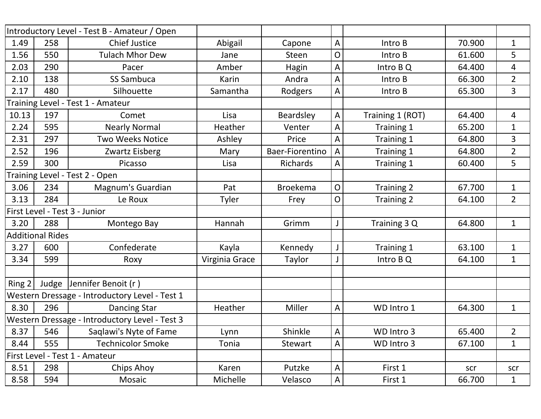|        |                         | Introductory Level - Test B - Amateur / Open   |                |                 |              |                   |        |                |
|--------|-------------------------|------------------------------------------------|----------------|-----------------|--------------|-------------------|--------|----------------|
| 1.49   | 258                     | <b>Chief Justice</b>                           | Abigail        | Capone          | A            | Intro B           | 70.900 | 1              |
| 1.56   | 550                     | <b>Tulach Mhor Dew</b>                         | Jane           | <b>Steen</b>    | O            | Intro B           | 61.600 | 5              |
| 2.03   | 290                     | Pacer                                          | Amber          | Hagin           | A            | Intro B Q         | 64.400 | 4              |
| 2.10   | 138                     | <b>SS Sambuca</b>                              | Karin          | Andra           | A            | Intro B           | 66.300 | $\overline{2}$ |
| 2.17   | 480                     | Silhouette                                     | Samantha       | Rodgers         | A            | Intro B           | 65.300 | 3              |
|        |                         | Training Level - Test 1 - Amateur              |                |                 |              |                   |        |                |
| 10.13  | 197                     | Comet                                          | Lisa           | Beardsley       | A            | Training 1 (ROT)  | 64.400 | 4              |
| 2.24   | 595                     | <b>Nearly Normal</b>                           | Heather        | Venter          | A            | Training 1        | 65.200 | $\mathbf{1}$   |
| 2.31   | 297                     | <b>Two Weeks Notice</b>                        | Ashley         | Price           | A            | Training 1        | 64.800 | 3              |
| 2.52   | 196                     | Zwartz Eisberg                                 | Mary           | Baer-Fiorentino | A            | Training 1        | 64.800 | $\overline{2}$ |
| 2.59   | 300                     | Picasso                                        | Lisa           | Richards        | A            | Training 1        | 60.400 | 5              |
|        |                         | Training Level - Test 2 - Open                 |                |                 |              |                   |        |                |
| 3.06   | 234                     | Magnum's Guardian                              | Pat            | <b>Broekema</b> | $\mathsf{O}$ | <b>Training 2</b> | 67.700 | $\mathbf{1}$   |
| 3.13   | 284                     | Le Roux                                        | Tyler          | Frey            | $\mathsf{O}$ | <b>Training 2</b> | 64.100 | $\overline{2}$ |
|        |                         | First Level - Test 3 - Junior                  |                |                 |              |                   |        |                |
| 3.20   | 288                     | Montego Bay                                    | Hannah         | Grimm           |              | Training 3 Q      | 64.800 | $\mathbf 1$    |
|        | <b>Additional Rides</b> |                                                |                |                 |              |                   |        |                |
| 3.27   | 600                     | Confederate                                    | Kayla          | Kennedy         | J            | Training 1        | 63.100 | $\mathbf 1$    |
| 3.34   | 599                     | Roxy                                           | Virginia Grace | Taylor          |              | Intro B Q         | 64.100 | $\mathbf 1$    |
|        |                         |                                                |                |                 |              |                   |        |                |
| Ring 2 |                         | Judge Jennifer Benoit (r)                      |                |                 |              |                   |        |                |
|        |                         | Western Dressage - Introductory Level - Test 1 |                |                 |              |                   |        |                |
| 8.30   | 296                     | <b>Dancing Star</b>                            | Heather        | Miller          | A            | WD Intro 1        | 64.300 | 1              |
|        |                         | Western Dressage - Introductory Level - Test 3 |                |                 |              |                   |        |                |
| 8.37   | 546                     | Saqlawi's Nyte of Fame                         | Lynn           | Shinkle         | $\mathsf A$  | WD Intro 3        | 65.400 | $\overline{2}$ |
| 8.44   | 555                     | <b>Technicolor Smoke</b>                       | Tonia          | Stewart         | A            | WD Intro 3        | 67.100 | $\mathbf{1}$   |
|        |                         | First Level - Test 1 - Amateur                 |                |                 |              |                   |        |                |
| 8.51   | 298                     | Chips Ahoy                                     | Karen          | Putzke          | A            | First 1           | scr    | scr            |
| 8.58   | 594                     | Mosaic                                         | Michelle       | Velasco         | A            | First 1           | 66.700 | $\mathbf{1}$   |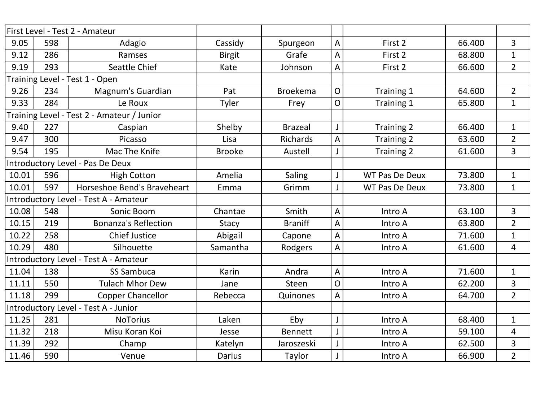|       |     | First Level - Test 2 - Amateur             |               |                 |                |                       |        |                         |
|-------|-----|--------------------------------------------|---------------|-----------------|----------------|-----------------------|--------|-------------------------|
| 9.05  | 598 | Adagio                                     | Cassidy       | Spurgeon        | A              | First 2               | 66.400 | 3                       |
| 9.12  | 286 | Ramses                                     | <b>Birgit</b> | Grafe           | A              | First 2               | 68.800 | $\mathbf{1}$            |
| 9.19  | 293 | Seattle Chief                              | Kate          | Johnson         | A              | First 2               | 66.600 | $2^{\circ}$             |
|       |     | Training Level - Test 1 - Open             |               |                 |                |                       |        |                         |
| 9.26  | 234 | Magnum's Guardian                          | Pat           | <b>Broekema</b> | $\overline{O}$ | Training 1            | 64.600 | $\overline{2}$          |
| 9.33  | 284 | Le Roux                                    | Tyler         | Frey            | O              | Training 1            | 65.800 | $\mathbf{1}$            |
|       |     | Training Level - Test 2 - Amateur / Junior |               |                 |                |                       |        |                         |
| 9.40  | 227 | Caspian                                    | Shelby        | <b>Brazeal</b>  |                | Training 2            | 66.400 | $\mathbf{1}$            |
| 9.47  | 300 | Picasso                                    | Lisa          | <b>Richards</b> | A              | <b>Training 2</b>     | 63.600 | $\overline{2}$          |
| 9.54  | 195 | Mac The Knife                              | <b>Brooke</b> | Austell         |                | Training 2            | 61.600 | $\overline{3}$          |
|       |     | Introductory Level - Pas De Deux           |               |                 |                |                       |        |                         |
| 10.01 | 596 | <b>High Cotton</b>                         | Amelia        | <b>Saling</b>   |                | <b>WT Pas De Deux</b> | 73.800 | $\mathbf{1}$            |
| 10.01 | 597 | Horseshoe Bend's Braveheart                | Emma          | Grimm           |                | <b>WT Pas De Deux</b> | 73.800 | $\mathbf{1}$            |
|       |     | Introductory Level - Test A - Amateur      |               |                 |                |                       |        |                         |
| 10.08 | 548 | Sonic Boom                                 | Chantae       | Smith           | A              | Intro A               | 63.100 | $\overline{3}$          |
| 10.15 | 219 | <b>Bonanza's Reflection</b>                | <b>Stacy</b>  | <b>Braniff</b>  | A              | Intro A               | 63.800 | $\overline{2}$          |
| 10.22 | 258 | <b>Chief Justice</b>                       | Abigail       | Capone          | A              | Intro A               | 71.600 | $\mathbf{1}$            |
| 10.29 | 480 | Silhouette                                 | Samantha      | Rodgers         | A              | Intro A               | 61.600 | $\overline{\mathbf{4}}$ |
|       |     | Introductory Level - Test A - Amateur      |               |                 |                |                       |        |                         |
| 11.04 | 138 | <b>SS Sambuca</b>                          | Karin         | Andra           | A              | Intro A               | 71.600 | $\mathbf{1}$            |
| 11.11 | 550 | <b>Tulach Mhor Dew</b>                     | Jane          | <b>Steen</b>    | O              | Intro A               | 62.200 | 3                       |
| 11.18 | 299 | <b>Copper Chancellor</b>                   | Rebecca       | Quinones        | A              | Intro A               | 64.700 | $\overline{2}$          |
|       |     | Introductory Level - Test A - Junior       |               |                 |                |                       |        |                         |
| 11.25 | 281 | <b>NoTorius</b>                            | Laken         | Eby             |                | Intro A               | 68.400 | $\mathbf{1}$            |
| 11.32 | 218 | Misu Koran Koi                             | Jesse         | <b>Bennett</b>  |                | Intro A               | 59.100 | 4                       |
| 11.39 | 292 | Champ                                      | Katelyn       | Jaroszeski      |                | Intro A               | 62.500 | 3                       |
| 11.46 | 590 | Venue                                      | <b>Darius</b> | Taylor          |                | Intro A               | 66.900 | $\overline{2}$          |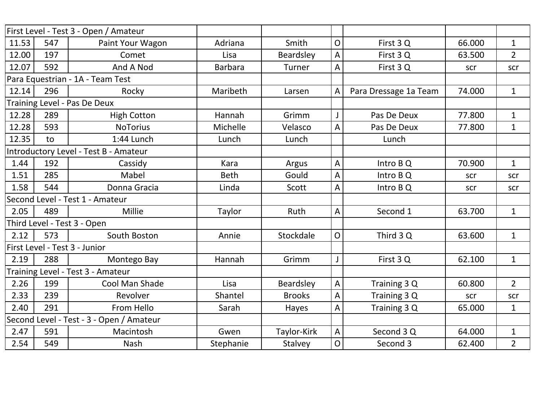|       |     | First Level - Test 3 - Open / Amateur    |                |               |                |                       |        |                |
|-------|-----|------------------------------------------|----------------|---------------|----------------|-----------------------|--------|----------------|
| 11.53 | 547 | Paint Your Wagon                         | Adriana        | Smith         | $\overline{O}$ | First 3 Q             | 66.000 | $\mathbf{1}$   |
| 12.00 | 197 | Comet                                    | Lisa           | Beardsley     | A              | First 3Q              | 63.500 | $\overline{2}$ |
| 12.07 | 592 | And A Nod                                | <b>Barbara</b> | Turner        | A              | First 3Q              | scr    | scr            |
|       |     | Para Equestrian - 1A - Team Test         |                |               |                |                       |        |                |
| 12.14 | 296 | Rocky                                    | Maribeth       | Larsen        | A              | Para Dressage 1a Team | 74.000 | $\mathbf{1}$   |
|       |     | Training Level - Pas De Deux             |                |               |                |                       |        |                |
| 12.28 | 289 | <b>High Cotton</b>                       | Hannah         | Grimm         |                | Pas De Deux           | 77.800 | $\mathbf{1}$   |
| 12.28 | 593 | <b>NoTorius</b>                          | Michelle       | Velasco       | A              | Pas De Deux           | 77.800 | $\mathbf{1}$   |
| 12.35 | to  | 1:44 Lunch                               | Lunch          | Lunch         |                | Lunch                 |        |                |
|       |     | Introductory Level - Test B - Amateur    |                |               |                |                       |        |                |
| 1.44  | 192 | Cassidy                                  | Kara           | Argus         | A              | Intro B Q             | 70.900 | $\mathbf{1}$   |
| 1.51  | 285 | Mabel                                    | <b>Beth</b>    | Gould         | A              | Intro B Q             | scr    | scr            |
| 1.58  | 544 | Donna Gracia                             | Linda          | Scott         | A              | Intro B Q             | scr    | scr            |
|       |     | Second Level - Test 1 - Amateur          |                |               |                |                       |        |                |
| 2.05  | 489 | Millie                                   | Taylor         | Ruth          | A              | Second 1              | 63.700 | $\mathbf{1}$   |
|       |     | Third Level - Test 3 - Open              |                |               |                |                       |        |                |
| 2.12  | 573 | South Boston                             | Annie          | Stockdale     | $\overline{O}$ | Third 3 Q             | 63.600 | $\mathbf{1}$   |
|       |     | First Level - Test 3 - Junior            |                |               |                |                       |        |                |
| 2.19  | 288 | Montego Bay                              | Hannah         | Grimm         | $\mathsf{J}$   | First 3Q              | 62.100 | $\mathbf{1}$   |
|       |     | Training Level - Test 3 - Amateur        |                |               |                |                       |        |                |
| 2.26  | 199 | Cool Man Shade                           | Lisa           | Beardsley     | A              | Training 3 Q          | 60.800 | $2^{\circ}$    |
| 2.33  | 239 | Revolver                                 | Shantel        | <b>Brooks</b> | A              | Training 3 Q          | scr    | scr            |
| 2.40  | 291 | From Hello                               | Sarah          | Hayes         | A              | Training 3 Q          | 65.000 | $\mathbf{1}$   |
|       |     | Second Level - Test - 3 - Open / Amateur |                |               |                |                       |        |                |
| 2.47  | 591 | Macintosh                                | Gwen           | Taylor-Kirk   | A              | Second 3 Q            | 64.000 | $\mathbf{1}$   |
| 2.54  | 549 | Nash                                     | Stephanie      | Stalvey       | $\overline{O}$ | Second 3              | 62.400 | $\overline{2}$ |